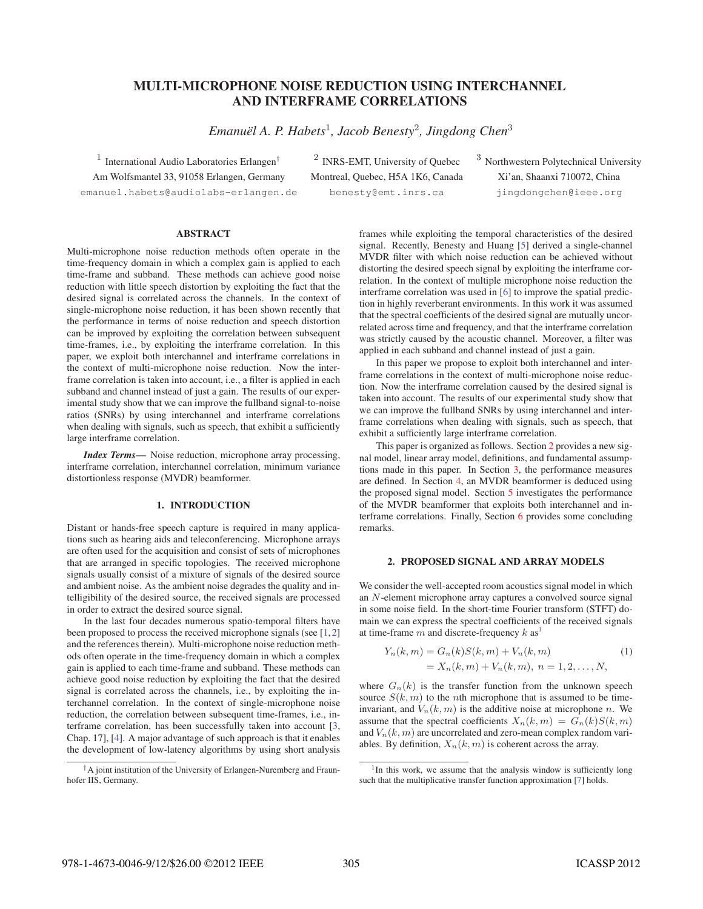# MULTI-MICROPHONE NOISE REDUCTION USING INTERCHANNEL AND INTERFRAME CORRELATIONS

*Emanuel A. P. Habets ¨* <sup>1</sup>*, Jacob Benesty*<sup>2</sup>*, Jingdong Chen*<sup>3</sup>

<sup>1</sup> International Audio Laboratories Erlangen<sup>†</sup> <sup>2</sup> INRS-EMT, University of Quebec <sup>3</sup> Northwestern Polytechnical University Am Wolfsmantel 33, 91058 Erlangen, Germany Montreal, Quebec, H5A 1K6, Canada Xi'an, Shaanxi 710072, China emanuel.habets@audiolabs-erlangen.de benesty@emt.inrs.ca jingdongchen@ieee.org

### ABSTRACT

Multi-microphone noise reduction methods often operate in the time-frequency domain in which a complex gain is applied to each time-frame and subband. These methods can achieve good noise reduction with little speech distortion by exploiting the fact that the desired signal is correlated across the channels. In the context of single-microphone noise reduction, it has been shown recently that the performance in terms of noise reduction and speech distortion can be improved by exploiting the correlation between subsequent time-frames, i.e., by exploiting the interframe correlation. In this paper, we exploit both interchannel and interframe correlations in the context of multi-microphone noise reduction. Now the interframe correlation is taken into account, i.e., a filter is applied in each subband and channel instead of just a gain. The results of our experimental study show that we can improve the fullband signal-to-noise ratios (SNRs) by using interchannel and interframe correlations when dealing with signals, such as speech, that exhibit a sufficiently large interframe correlation.

*Index Terms*— Noise reduction, microphone array processing, interframe correlation, interchannel correlation, minimum variance distortionless response (MVDR) beamformer.

#### 1. INTRODUCTION

Distant or hands-free speech capture is required in many applications such as hearing aids and teleconferencing. Microphone arrays are often used for the acquisition and consist of sets of microphones that are arranged in specific topologies. The received microphone signals usually consist of a mixture of signals of the desired source and ambient noise. As the ambient noise degrades the quality and intelligibility of the desired source, the received signals are processed in order to extract the desired source signal.

In the last four decades numerous spatio-temporal filters have been proposed to process the received microphone signals (see [1,2] and the references therein). Multi-microphone noise reduction methods often operate in the time-frequency domain in which a complex gain is applied to each time-frame and subband. These methods can achieve good noise reduction by exploiting the fact that the desired signal is correlated across the channels, i.e., by exploiting the interchannel correlation. In the context of single-microphone noise reduction, the correlation between subsequent time-frames, i.e., interframe correlation, has been successfully taken into account [3, Chap. 17], [4]. A major advantage of such approach is that it enables the development of low-latency algorithms by using short analysis frames while exploiting the temporal characteristics of the desired signal. Recently, Benesty and Huang [5] derived a single-channel MVDR filter with which noise reduction can be achieved without distorting the desired speech signal by exploiting the interframe correlation. In the context of multiple microphone noise reduction the interframe correlation was used in [6] to improve the spatial prediction in highly reverberant environments. In this work it was assumed that the spectral coefficients of the desired signal are mutually uncorrelated across time and frequency, and that the interframe correlation was strictly caused by the acoustic channel. Moreover, a filter was applied in each subband and channel instead of just a gain.

In this paper we propose to exploit both interchannel and interframe correlations in the context of multi-microphone noise reduction. Now the interframe correlation caused by the desired signal is taken into account. The results of our experimental study show that we can improve the fullband SNRs by using interchannel and interframe correlations when dealing with signals, such as speech, that exhibit a sufficiently large interframe correlation.

This paper is organized as follows. Section 2 provides a new signal model, linear array model, definitions, and fundamental assumptions made in this paper. In Section 3, the performance measures are defined. In Section 4, an MVDR beamformer is deduced using the proposed signal model. Section 5 investigates the performance of the MVDR beamformer that exploits both interchannel and interframe correlations. Finally, Section 6 provides some concluding remarks.

## 2. PROPOSED SIGNAL AND ARRAY MODELS

We consider the well-accepted room acoustics signal model in which an N-element microphone array captures a convolved source signal in some noise field. In the short-time Fourier transform (STFT) domain we can express the spectral coefficients of the received signals at time-frame m and discrete-frequency  $k$  as<sup>1</sup>

$$
Y_n(k,m) = G_n(k)S(k,m) + V_n(k,m)
$$
  
=  $X_n(k,m) + V_n(k,m), n = 1,2,...,N,$  (1)

where  $G_n(k)$  is the transfer function from the unknown speech source  $S(k, m)$  to the *n*th microphone that is assumed to be timeinvariant, and  $V_n(k,m)$  is the additive noise at microphone n. We assume that the spectral coefficients  $X_n(k,m) = G_n(k)S(k,m)$ and  $V_n(k,m)$  are uncorrelated and zero-mean complex random variables. By definition,  $X_n(k,m)$  is coherent across the array.

<sup>†</sup>A joint institution of the University of Erlangen-Nuremberg and Fraunhofer IIS, Germany.

<sup>&</sup>lt;sup>1</sup>In this work, we assume that the analysis window is sufficiently long such that the multiplicative transfer function approximation [7] holds.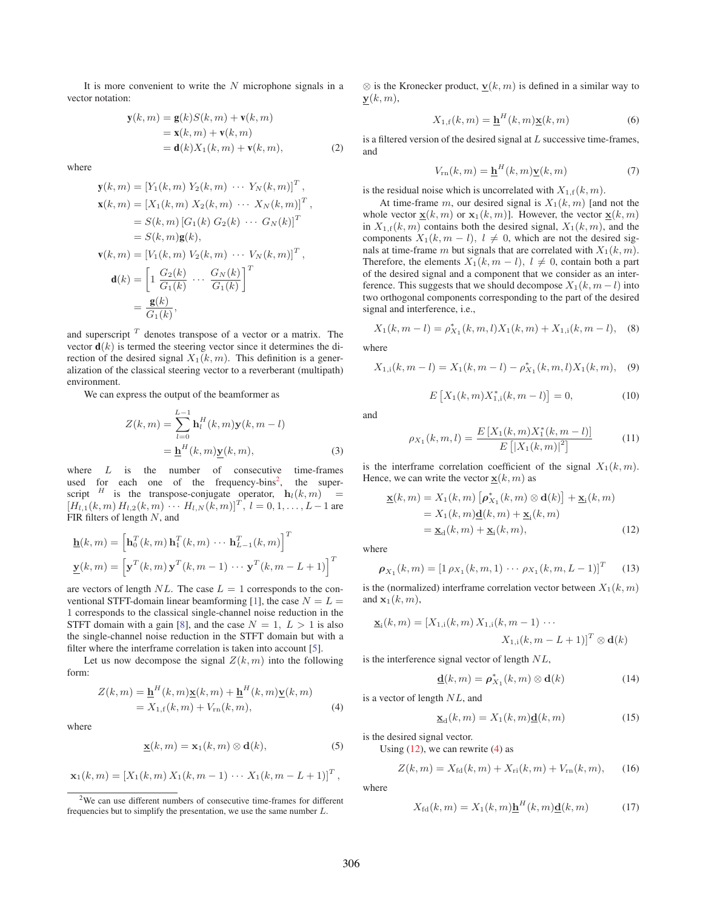It is more convenient to write the  $N$  microphone signals in a vector notation:

$$
\mathbf{y}(k,m) = \mathbf{g}(k)S(k,m) + \mathbf{v}(k,m)
$$
  
=  $\mathbf{x}(k,m) + \mathbf{v}(k,m)$   
=  $\mathbf{d}(k)X_1(k,m) + \mathbf{v}(k,m)$ , (2)

where

$$
\mathbf{y}(k, m) = [Y_1(k, m) Y_2(k, m) \cdots Y_N(k, m)]^T, \n\mathbf{x}(k, m) = [X_1(k, m) X_2(k, m) \cdots X_N(k, m)]^T, \n= S(k, m) [G_1(k) G_2(k) \cdots G_N(k)]^T \n= S(k, m) \mathbf{g}(k), \n\mathbf{v}(k, m) = [V_1(k, m) V_2(k, m) \cdots V_N(k, m)]^T, \n\mathbf{d}(k) = \left[1 \frac{G_2(k)}{G_1(k)} \cdots \frac{G_N(k)}{G_1(k)}\right]^T \n= \frac{\mathbf{g}(k)}{G_1(k)},
$$

and superscript *<sup>T</sup>* denotes transpose of a vector or a matrix. The vector  $\mathbf{d}(k)$  is termed the steering vector since it determines the direction of the desired signal  $X_1(k,m)$ . This definition is a generalization of the classical steering vector to a reverberant (multipath) environment.

We can express the output of the beamformer as

$$
Z(k,m) = \sum_{l=0}^{L-1} \mathbf{h}_l^H(k,m)\mathbf{y}(k,m-l)
$$

$$
= \underline{\mathbf{h}}^H(k,m)\underline{\mathbf{y}}(k,m), \qquad (3)
$$

where  $L$  is the number of consecutive time-frames used for each one of the frequency-bins<sup>2</sup>, the superscript  $^H$  is the transpose-conjugate operator,  $\mathbf{h}_l(k,m)$  =  $[H_{l,1}(k,m) H_{l,2}(k,m) \cdots H_{l,N}(k,m)]^T$ ,  $l = 0, 1, \ldots, L-1$  are FIR filters of length  $N$ , and

$$
\underline{\mathbf{h}}(k,m) = \left[\mathbf{h}_0^T(k,m) \, \mathbf{h}_1^T(k,m) \, \cdots \, \mathbf{h}_{L-1}^T(k,m)\right]^T
$$

$$
\underline{\mathbf{y}}(k,m) = \left[\mathbf{y}^T(k,m) \, \mathbf{y}^T(k,m-1) \, \cdots \, \mathbf{y}^T(k,m-L+1)\right]^T
$$

are vectors of length  $NL$ . The case  $L = 1$  corresponds to the conventional STFT-domain linear beamforming [1], the case  $N = L$  = 1 corresponds to the classical single-channel noise reduction in the STFT domain with a gain [8], and the case  $N = 1, L > 1$  is also the single-channel noise reduction in the STFT domain but with a filter where the interframe correlation is taken into account [5].

Let us now decompose the signal  $Z(k,m)$  into the following form:

$$
Z(k,m) = \underline{\mathbf{h}}^{H}(k,m)\underline{\mathbf{x}}(k,m) + \underline{\mathbf{h}}^{H}(k,m)\underline{\mathbf{v}}(k,m)
$$
  
=  $X_{1,\text{f}}(k,m) + V_{\text{rn}}(k,m),$  (4)

where

$$
\underline{\mathbf{x}}(k,m) = \mathbf{x}_1(k,m) \otimes \mathbf{d}(k),\tag{5}
$$

$$
\mathbf{x}_1(k,m) = \left[ X_1(k,m) \, X_1(k,m-1) \, \cdots \, X_1(k,m-L+1) \right]^T,
$$

 $\otimes$  is the Kronecker product,  $\underline{\mathbf{v}}(k,m)$  is defined in a similar way to  $\mathbf{y}(k,m)$ ,

$$
X_{1,\mathrm{f}}(k,m) = \underline{\mathbf{h}}^H(k,m)\underline{\mathbf{x}}(k,m)
$$
 (6)

is a filtered version of the desired signal at  $L$  successive time-frames, and

$$
V_{\rm rn}(k,m) = \underline{\mathbf{h}}^H(k,m)\underline{\mathbf{v}}(k,m) \tag{7}
$$

is the residual noise which is uncorrelated with  $X_{1,f}(k,m)$ .

At time-frame m, our desired signal is  $X_1(k,m)$  [and not the whole vector  $\underline{\mathbf{x}}(k,m)$  or  $\mathbf{x}_1(k,m)$ ]. However, the vector  $\underline{\mathbf{x}}(k,m)$ in  $X_{1,f}(k,m)$  contains both the desired signal,  $X_1(k,m)$ , and the components  $X_1(k, m - l)$ ,  $l \neq 0$ , which are not the desired signals at time-frame m but signals that are correlated with  $X_1(k,m)$ . Therefore, the elements  $X_1(k,m-l)$ ,  $l \neq 0$ , contain both a part of the desired signal and a component that we consider as an interference. This suggests that we should decompose  $X_1(k, m - l)$  into two orthogonal components corresponding to the part of the desired signal and interference, i.e.,

$$
X_1(k, m-l) = \rho_{X_1}^*(k, m, l) X_1(k, m) + X_{1,i}(k, m-l), \quad (8)
$$

where

$$
X_{1,i}(k,m-l) = X_1(k,m-l) - \rho_{X_1}^*(k,m,l)X_1(k,m), \quad (9)
$$

$$
E\left[X_1(k,m)X_{1,i}^*(k,m-l)\right] = 0,\t(10)
$$

and

$$
\rho_{X_1}(k, m, l) = \frac{E\left[X_1(k, m)X_1^*(k, m - l)\right]}{E\left[|X_1(k, m)|^2\right]}
$$
(11)

is the interframe correlation coefficient of the signal  $X_1(k,m)$ . Hence, we can write the vector  $\mathbf{x}(k,m)$  as

$$
\underline{\mathbf{x}}(k,m) = X_1(k,m) \left[ \rho_{X_1}^*(k,m) \otimes \mathbf{d}(k) \right] + \underline{\mathbf{x}}_i(k,m)
$$
  
=  $X_1(k,m)\underline{\mathbf{d}}(k,m) + \underline{\mathbf{x}}_i(k,m)$   
=  $\underline{\mathbf{x}}_d(k,m) + \underline{\mathbf{x}}_i(k,m),$  (12)

where

$$
\boldsymbol{\rho}_{X_1}(k,m) = [1 \, \rho_{X_1}(k,m,1) \, \cdots \, \rho_{X_1}(k,m,L-1)]^T \qquad (13)
$$

is the (normalized) interframe correlation vector between  $X_1(k,m)$ and  $\mathbf{x}_1(k,m)$ ,

$$
\underline{\mathbf{x}}_{i}(k,m) = [X_{1,i}(k,m) \, X_{1,i}(k,m-1) \, \cdots \, X_{1,i}(k,m-L+1)]^{T} \otimes \mathbf{d}(k)
$$

is the interference signal vector of length  $NL$ ,

$$
\underline{\mathbf{d}}(k,m) = \boldsymbol{\rho}_{X_1}^*(k,m) \otimes \mathbf{d}(k) \tag{14}
$$

is a vector of length  $NL$ , and

$$
\underline{\mathbf{x}}_{\mathrm{d}}(k,m) = X_1(k,m)\underline{\mathbf{d}}(k,m) \tag{15}
$$

is the desired signal vector.

Using  $(12)$ , we can rewrite  $(4)$  as

$$
Z(k, m) = X_{\text{fd}}(k, m) + X_{\text{ri}}(k, m) + V_{\text{rn}}(k, m), \qquad (16)
$$

where

$$
X_{\text{fd}}(k,m) = X_1(k,m)\underline{\mathbf{h}}^H(k,m)\underline{\mathbf{d}}(k,m) \tag{17}
$$

<sup>2</sup>We can use different numbers of consecutive time-frames for different frequencies but to simplify the presentation, we use the same number L.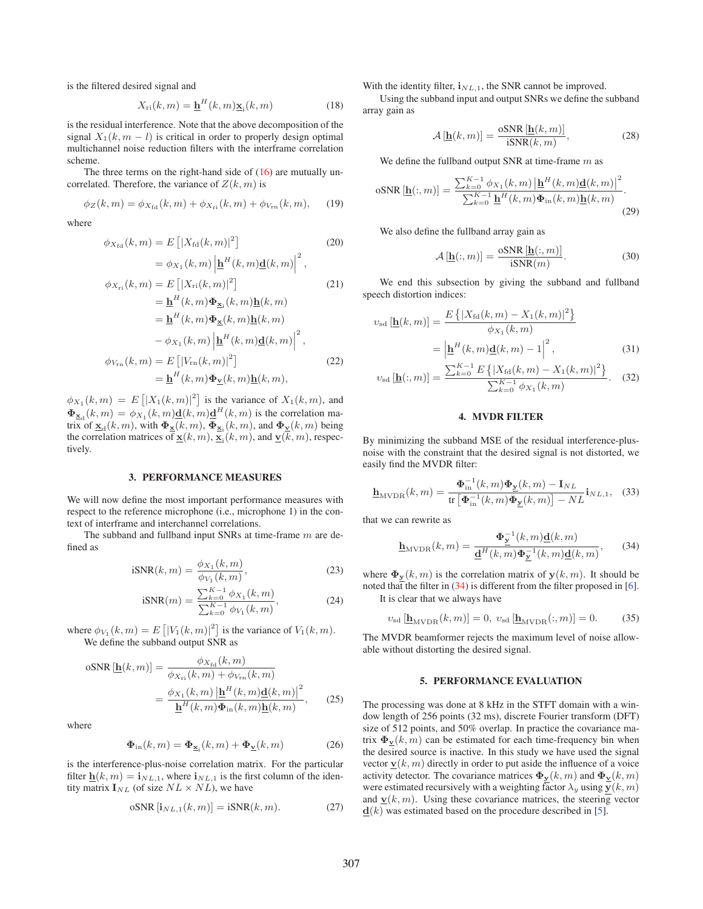is the filtered desired signal and

$$
X_{\rm ri}(k,m) = \underline{\mathbf{h}}^H(k,m)\underline{\mathbf{x}}_{\rm i}(k,m) \tag{18}
$$

is the residual interference. Note that the above decomposition of the signal  $X_1(k, m - l)$  is critical in order to properly design optimal multichannel noise reduction filters with the interframe correlation scheme.

The three terms on the right-hand side of  $(16)$  are mutually uncorrelated. Therefore, the variance of  $Z(k, m)$  is

$$
\phi_Z(k,m) = \phi_{X_{\rm fd}}(k,m) + \phi_{X_{\rm ri}}(k,m) + \phi_{V_{\rm rn}}(k,m), \quad (19)
$$

where

$$
\phi_{X_{\text{fd}}}(k, m) = E\left[|X_{\text{fd}}(k, m)|^2\right]
$$
 (20)

$$
= \phi_{X_1}(k,m) \left| \underline{\mathbf{h}}^H(k,m) \underline{\mathbf{d}}(k,m) \right|^2,
$$

$$
\phi_{X_{\rm ri}}(k,m) = E\left[|X_{\rm ri}(k,m)|^2\right]
$$
\n
$$
= \underline{\mathbf{h}}^H(k,m)\Phi_{\mathbf{x}_i}(k,m)\underline{\mathbf{h}}(k,m)
$$
\n
$$
= \underline{\mathbf{h}}^H(k,m)\Phi_{\mathbf{x}}(k,m)\underline{\mathbf{h}}(k,m)
$$
\n
$$
- \phi_{X_1}(k,m) \left|\underline{\mathbf{h}}^H(k,m)\underline{\mathbf{d}}(k,m)\right|^2,
$$
\n
$$
\phi_{V_{\rm rn}}(k,m) = E\left[|V_{\rm rn}(k,m)|^2\right]
$$
\n
$$
= \underline{\mathbf{h}}^H(k,m)\Phi_{\mathbf{x}}(k,m)\underline{\mathbf{h}}(k,m),
$$
\n(22)

 $\phi_{X_1}(k,m) = E\left[ |X_1(k,m)|^2 \right]$  is the variance of  $X_1(k,m)$ , and  $\Phi_{\mathbf{x}_{d}}(k,m) = \phi_{X_1}(k,m) \underline{\mathbf{d}}(k,m) \underline{\mathbf{d}}^H(k,m)$  is the correlation matrix of  $\underline{\mathbf{x}}_d(k,m)$ , with  $\overline{\mathbf{\Phi}_\mathbf{x}(k,m)}$ ,  $\overline{\mathbf{\Phi}_\mathbf{x}(k,m)}$ , and  $\mathbf{\Phi}_\mathbf{y}(k,m)$  being the correlation matrices of  $\underline{\mathbf{x}}(k,m)$ ,  $\underline{\mathbf{x}}_i(k,m)$ , and  $\underline{\mathbf{v}}(\overline{k},m)$ , respectively.

#### 3. PERFORMANCE MEASURES

We will now define the most important performance measures with respect to the reference microphone (i.e., microphone 1) in the context of interframe and interchannel correlations.

The subband and fullband input SNRs at time-frame  $m$  are defined as

$$
iSNR(k, m) = \frac{\phi_{X_1}(k, m)}{\phi_{V_1}(k, m)},
$$
\n(23)

$$
iSNR(m) = \frac{\sum_{k=0}^{K-1} \phi_{X_1}(k, m)}{\sum_{k=0}^{K-1} \phi_{V_1}(k, m)},
$$
(24)

where  $\phi_{V_1}(k,m) = E\left[ |V_1(k,m)|^2 \right]$  is the variance of  $V_1(k,m)$ . We define the subband output SNR as

$$
\text{oSNR} \left[ \underline{\mathbf{h}}(k, m) \right] = \frac{\phi_{X_{\text{rd}}}(k, m)}{\phi_{X_{\text{ri}}}(k, m) + \phi_{V_{\text{rn}}}(k, m)} \n= \frac{\phi_{X_1}(k, m) \left| \underline{\mathbf{h}}^H(k, m) \underline{\mathbf{d}}(k, m) \right|^2}{\underline{\mathbf{h}}^H(k, m) \Phi_{\text{in}}(k, m) \underline{\mathbf{h}}(k, m)},
$$
\n(25)

where

$$
\mathbf{\Phi}_{\text{in}}(k,m) = \mathbf{\Phi}_{\mathbf{\underline{x}}_{\text{i}}}(k,m) + \mathbf{\Phi}_{\mathbf{\underline{v}}}(k,m) \tag{26}
$$

is the interference-plus-noise correlation matrix. For the particular filter  $\underline{\mathbf{h}}(k,m) = \mathbf{i}_{NL,1}$ , where  $\mathbf{i}_{NL,1}$  is the first column of the identity matrix  $I_{NL}$  (of size  $NL \times NL$ ), we have

$$
oSNR [\mathbf{i}_{NL,1}(k,m)] = iSNR(k,m). \tag{27}
$$

With the identity filter,  $\mathbf{i}_{NL,1}$ , the SNR cannot be improved.

Using the subband input and output SNRs we define the subband array gain as

$$
\mathcal{A}\left[\underline{\mathbf{h}}(k,m)\right] = \frac{\text{oSNR}\left[\underline{\mathbf{h}}(k,m)\right]}{\text{iSNR}(k,m)},\tag{28}
$$

We define the fullband output SNR at time-frame  $m$  as

$$
\text{oSNR}\left[\underline{\mathbf{h}}(:,m)\right] = \frac{\sum_{k=0}^{K-1} \phi_{X_1}(k,m) \left|\underline{\mathbf{h}}^H(k,m)\underline{\mathbf{d}}(k,m)\right|^2}{\sum_{k=0}^{K-1} \underline{\mathbf{h}}^H(k,m) \Phi_{\text{in}}(k,m) \underline{\mathbf{h}}(k,m)}.
$$
\n(29)

We also define the fullband array gain as

$$
\mathcal{A}[\underline{\mathbf{h}}(:,m)] = \frac{\text{oSNR}[\underline{\mathbf{h}}(:,m)]}{i\text{SNR}(m)}.
$$
 (30)

We end this subsection by giving the subband and fullband speech distortion indices:

$$
v_{\rm sd}[\mathbf{\underline{h}}(k,m)] = \frac{E\left\{|X_{\rm fd}(k,m) - X_1(k,m)|^2\right\}}{\phi_{X_1}(k,m)}
$$

$$
= \left|\mathbf{\underline{h}}^H(k,m)\mathbf{\underline{d}}(k,m) - 1\right|^2, \tag{31}
$$

$$
v_{\rm sd}\left[\underline{\mathbf{h}}(:,m)\right] = \frac{\sum_{k=0}^{K-1} E\left\{|X_{\rm fd}(k,m) - X_1(k,m)|^2\right\}}{\sum_{k=0}^{K-1} \phi_{X_1}(k,m)}.
$$
 (32)

#### 4. MVDR FILTER

By minimizing the subband MSE of the residual interference-plusnoise with the constraint that the desired signal is not distorted, we easily find the MVDR filter:

$$
\underline{\mathbf{h}}_{\text{MVDR}}(k,m) = \frac{\mathbf{\Phi}_{\text{in}}^{-1}(k,m)\mathbf{\Phi}_{\underline{\mathbf{y}}}(k,m) - \mathbf{I}_{NL}}{\text{tr}\left[\mathbf{\Phi}_{\text{in}}^{-1}(k,m)\mathbf{\Phi}_{\underline{\mathbf{y}}}(k,m)\right] - NL}\mathbf{i}_{NL,1}, \quad (33)
$$

that we can rewrite as

$$
\underline{\mathbf{h}}_{\text{MVDR}}(k,m) = \frac{\underline{\mathbf{\Phi}_{\Sigma}^{-1}(k,m)}\underline{\mathbf{d}}(k,m)}{\underline{\mathbf{d}}^H(k,m)\underline{\mathbf{\Phi}_{\Sigma}^{-1}(k,m)}\underline{\mathbf{d}}(k,m)},\qquad(34)
$$

where  $\Phi_{\mathbf{y}}(k,m)$  is the correlation matrix of  $\mathbf{y}(k,m)$ . It should be noted that the filter in (34) is different from the filter proposed in [6].

It is clear that we always have

$$
v_{\rm sd}\left[\underline{\mathbf{h}}_{\rm MVDR}(k,m)\right] = 0, \ v_{\rm sd}\left[\underline{\mathbf{h}}_{\rm MVDR}(:,m)\right] = 0. \tag{35}
$$

The MVDR beamformer rejects the maximum level of noise allowable without distorting the desired signal.

#### 5. PERFORMANCE EVALUATION

The processing was done at 8 kHz in the STFT domain with a window length of 256 points (32 ms), discrete Fourier transform (DFT) size of 512 points, and 50% overlap. In practice the covariance matrix  $\Phi_{\mathbf{v}}(k,m)$  can be estimated for each time-frequency bin when the desired source is inactive. In this study we have used the signal vector  $\underline{\mathbf{v}}(k,m)$  directly in order to put aside the influence of a voice activity detector. The covariance matrices  $\Phi_{\mathbf{y}}(k,m)$  and  $\Phi_{\mathbf{y}}(k,m)$ were estimated recursively with a weighting factor  $\lambda_y$  using  $y(k, m)$ and  $\mathbf{v}(k,m)$ . Using these covariance matrices, the steering vector  $\underline{\mathbf{d}}(k)$  was estimated based on the procedure described in [5].